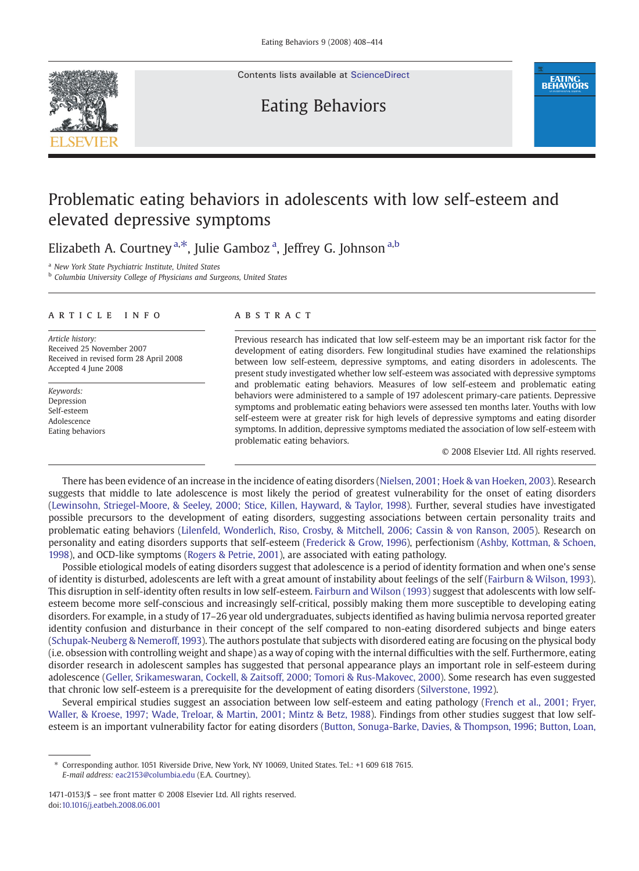

Contents lists available at [ScienceDirect](http://www.sciencedirect.com/science/journal/14710153)

## Eating Behaviors



# Problematic eating behaviors in adolescents with low self-esteem and elevated depressive symptoms

Elizabeth A. Courtney<sup>a,\*</sup>, Julie Gamboz<sup>a</sup>, Jeffrey G. Johnson<sup>a,b</sup>

<sup>a</sup> New York State Psychiatric Institute, United States

<sup>b</sup> Columbia University College of Physicians and Surgeons, United States

### article info abstract

Article history: Received 25 November 2007 Received in revised form 28 April 2008 Accepted 4 June 2008

Keywords: Depression Self-esteem Adolescence Eating behaviors

Previous research has indicated that low self-esteem may be an important risk factor for the development of eating disorders. Few longitudinal studies have examined the relationships between low self-esteem, depressive symptoms, and eating disorders in adolescents. The present study investigated whether low self-esteem was associated with depressive symptoms and problematic eating behaviors. Measures of low self-esteem and problematic eating behaviors were administered to a sample of 197 adolescent primary-care patients. Depressive symptoms and problematic eating behaviors were assessed ten months later. Youths with low self-esteem were at greater risk for high levels of depressive symptoms and eating disorder symptoms. In addition, depressive symptoms mediated the association of low self-esteem with problematic eating behaviors.

© 2008 Elsevier Ltd. All rights reserved.

There has been evidence of an increase in the incidence of eating disorders ([Nielsen, 2001; Hoek & van Hoeken, 2003\)](#page--1-0). Research suggests that middle to late adolescence is most likely the period of greatest vulnerability for the onset of eating disorders [\(Lewinsohn, Striegel-Moore, & Seeley, 2000; Stice, Killen, Hayward, & Taylor, 1998](#page--1-0)). Further, several studies have investigated possible precursors to the development of eating disorders, suggesting associations between certain personality traits and problematic eating behaviors ([Lilenfeld, Wonderlich, Riso, Crosby, & Mitchell, 2006; Cassin & von Ranson, 2005](#page--1-0)). Research on personality and eating disorders supports that self-esteem ([Frederick & Grow, 1996](#page--1-0)), perfectionism [\(Ashby, Kottman, & Schoen,](#page--1-0) [1998\)](#page--1-0), and OCD-like symptoms ([Rogers & Petrie, 2001\)](#page--1-0), are associated with eating pathology.

Possible etiological models of eating disorders suggest that adolescence is a period of identity formation and when one's sense of identity is disturbed, adolescents are left with a great amount of instability about feelings of the self ([Fairburn & Wilson, 1993\)](#page--1-0). This disruption in self-identity often results in low self-esteem. [Fairburn and Wilson \(1993\)](#page--1-0) suggest that adolescents with low selfesteem become more self-conscious and increasingly self-critical, possibly making them more susceptible to developing eating disorders. For example, in a study of 17–26 year old undergraduates, subjects identified as having bulimia nervosa reported greater identity confusion and disturbance in their concept of the self compared to non-eating disordered subjects and binge eaters [\(Schupak-Neuberg & Nemeroff, 1993\)](#page--1-0). The authors postulate that subjects with disordered eating are focusing on the physical body (i.e. obsession with controlling weight and shape) as a way of coping with the internal difficulties with the self. Furthermore, eating disorder research in adolescent samples has suggested that personal appearance plays an important role in self-esteem during adolescence [\(Geller, Srikameswaran, Cockell, & Zaitsoff, 2000; Tomori & Rus-Makovec, 2000\)](#page--1-0). Some research has even suggested that chronic low self-esteem is a prerequisite for the development of eating disorders [\(Silverstone, 1992\)](#page--1-0).

Several empirical studies suggest an association between low self-esteem and eating pathology [\(French et al., 2001; Fryer,](#page--1-0) [Waller, & Kroese, 1997; Wade, Treloar, & Martin, 2001; Mintz & Betz, 1988\)](#page--1-0). Findings from other studies suggest that low selfesteem is an important vulnerability factor for eating disorders [\(Button, Sonuga-Barke, Davies, & Thompson, 1996; Button, Loan,](#page--1-0)

<sup>⁎</sup> Corresponding author. 1051 Riverside Drive, New York, NY 10069, United States. Tel.: +1 609 618 7615. E-mail address: [eac2153@columbia.edu](mailto:eac2153@columbia.edu) (E.A. Courtney).

<sup>1471-0153/\$</sup> – see front matter © 2008 Elsevier Ltd. All rights reserved. doi:[10.1016/j.eatbeh.2008.06.001](http://dx.doi.org/10.1016/j.eatbeh.2008.06.001)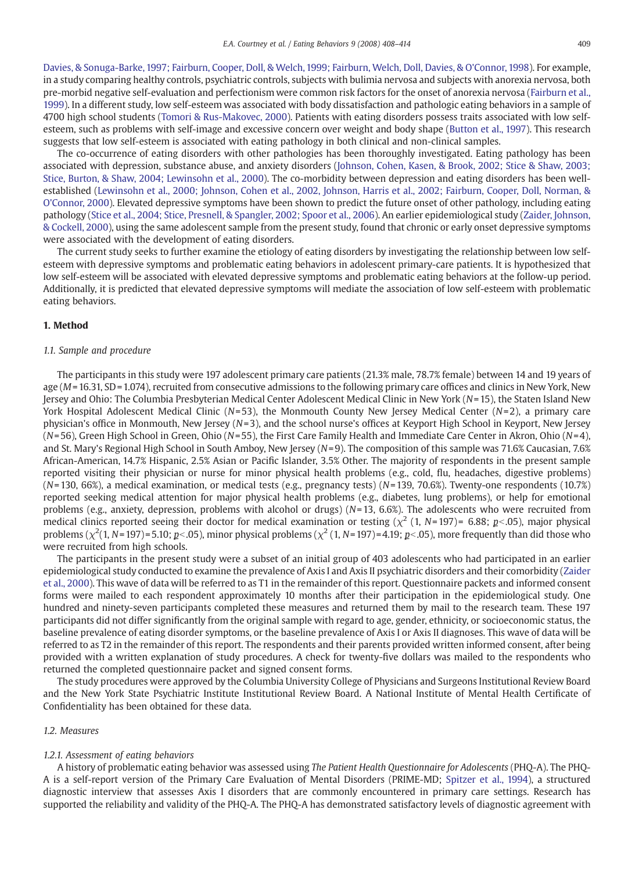[Davies, & Sonuga-Barke, 1997; Fairburn, Cooper, Doll, & Welch, 1999; Fairburn, Welch, Doll, Davies, & O'Connor, 1998\)](#page--1-0). For example, in a study comparing healthy controls, psychiatric controls, subjects with bulimia nervosa and subjects with anorexia nervosa, both pre-morbid negative self-evaluation and perfectionism were common risk factors for the onset of anorexia nervosa ([Fairburn et al.,](#page--1-0) [1999\)](#page--1-0). In a different study, low self-esteem was associated with body dissatisfaction and pathologic eating behaviors in a sample of 4700 high school students [\(Tomori & Rus-Makovec, 2000\)](#page--1-0). Patients with eating disorders possess traits associated with low selfesteem, such as problems with self-image and excessive concern over weight and body shape ([Button et al., 1997](#page--1-0)). This research suggests that low self-esteem is associated with eating pathology in both clinical and non-clinical samples.

The co-occurrence of eating disorders with other pathologies has been thoroughly investigated. Eating pathology has been associated with depression, substance abuse, and anxiety disorders [\(Johnson, Cohen, Kasen, & Brook, 2002; Stice & Shaw, 2003;](#page--1-0) [Stice, Burton, & Shaw, 2004; Lewinsohn et al., 2000\)](#page--1-0). The co-morbidity between depression and eating disorders has been wellestablished [\(Lewinsohn et al., 2000; Johnson, Cohen et al., 2002, Johnson, Harris et al., 2002; Fairburn, Cooper, Doll, Norman, &](#page--1-0) [O'Connor, 2000\)](#page--1-0). Elevated depressive symptoms have been shown to predict the future onset of other pathology, including eating pathology ([Stice et al., 2004; Stice, Presnell, & Spangler, 2002; Spoor et al., 2006](#page--1-0)). An earlier epidemiological study [\(Zaider, Johnson,](#page--1-0) [& Cockell, 2000](#page--1-0)), using the same adolescent sample from the present study, found that chronic or early onset depressive symptoms were associated with the development of eating disorders.

The current study seeks to further examine the etiology of eating disorders by investigating the relationship between low selfesteem with depressive symptoms and problematic eating behaviors in adolescent primary-care patients. It is hypothesized that low self-esteem will be associated with elevated depressive symptoms and problematic eating behaviors at the follow-up period. Additionally, it is predicted that elevated depressive symptoms will mediate the association of low self-esteem with problematic eating behaviors.

#### 1. Method

#### 1.1. Sample and procedure

The participants in this study were 197 adolescent primary care patients (21.3% male, 78.7% female) between 14 and 19 years of age (M= 16.31, SD = 1.074), recruited from consecutive admissions to the following primary care offices and clinics in New York, New Jersey and Ohio: The Columbia Presbyterian Medical Center Adolescent Medical Clinic in New York (N= 15), the Staten Island New York Hospital Adolescent Medical Clinic ( $N=53$ ), the Monmouth County New Jersey Medical Center ( $N=2$ ), a primary care physician's office in Monmouth, New Jersey (N=3), and the school nurse's offices at Keyport High School in Keyport, New Jersey  $(N=56)$ , Green High School in Green, Ohio (N=55), the First Care Family Health and Immediate Care Center in Akron, Ohio (N=4), and St. Mary's Regional High School in South Amboy, New Jersey  $(N=9)$ . The composition of this sample was 71.6% Caucasian, 7.6% African-American, 14.7% Hispanic, 2.5% Asian or Pacific Islander, 3.5% Other. The majority of respondents in the present sample reported visiting their physician or nurse for minor physical health problems (e.g., cold, flu, headaches, digestive problems)  $(N=130, 66%)$ , a medical examination, or medical tests (e.g., pregnancy tests) ( $N=139, 70.6%)$ . Twenty-one respondents (10.7%) reported seeking medical attention for major physical health problems (e.g., diabetes, lung problems), or help for emotional problems (e.g., anxiety, depression, problems with alcohol or drugs) ( $N=13$ , 6.6%). The adolescents who were recruited from medical clinics reported seeing their doctor for medical examination or testing ( $\chi^2$  (1, N= 197)= 6.88;  $p<.05$ ), major physical problems ( $\chi^2(1, N=197)$  = 5.10;  $p<0.05$ ), minor physical problems ( $\chi^2(1, N=197)$  = 4.19;  $p<0.05$ ), more frequently than did those who were recruited from high schools.

The participants in the present study were a subset of an initial group of 403 adolescents who had participated in an earlier epidemiological study conducted to examine the prevalence of Axis I and Axis II psychiatric disorders and their comorbidity [\(Zaider](#page--1-0) [et al., 2000\)](#page--1-0). This wave of data will be referred to as T1 in the remainder of this report. Questionnaire packets and informed consent forms were mailed to each respondent approximately 10 months after their participation in the epidemiological study. One hundred and ninety-seven participants completed these measures and returned them by mail to the research team. These 197 participants did not differ significantly from the original sample with regard to age, gender, ethnicity, or socioeconomic status, the baseline prevalence of eating disorder symptoms, or the baseline prevalence of Axis I or Axis II diagnoses. This wave of data will be referred to as T2 in the remainder of this report. The respondents and their parents provided written informed consent, after being provided with a written explanation of study procedures. A check for twenty-five dollars was mailed to the respondents who returned the completed questionnaire packet and signed consent forms.

The study procedures were approved by the Columbia University College of Physicians and Surgeons Institutional Review Board and the New York State Psychiatric Institute Institutional Review Board. A National Institute of Mental Health Certificate of Confidentiality has been obtained for these data.

### 1.2. Measures

#### 1.2.1. Assessment of eating behaviors

A history of problematic eating behavior was assessed using The Patient Health Questionnaire for Adolescents (PHQ-A). The PHQ-A is a self-report version of the Primary Care Evaluation of Mental Disorders (PRIME-MD; [Spitzer et al., 1994\)](#page--1-0), a structured diagnostic interview that assesses Axis I disorders that are commonly encountered in primary care settings. Research has supported the reliability and validity of the PHQ-A. The PHQ-A has demonstrated satisfactory levels of diagnostic agreement with